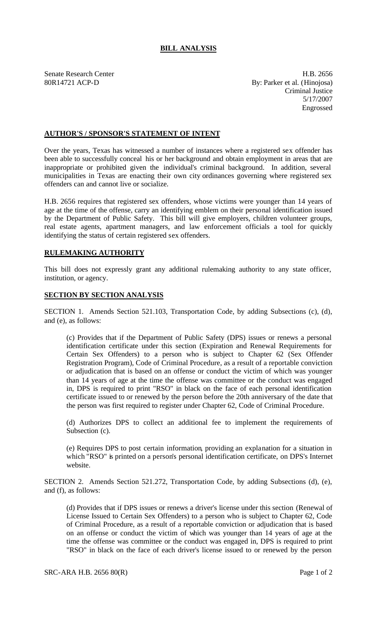## **BILL ANALYSIS**

Senate Research Center **H.B. 2656** 80R14721 ACP-D By: Parker et al. (Hinojosa) Criminal Justice 5/17/2007 Engrossed

## **AUTHOR'S / SPONSOR'S STATEMENT OF INTENT**

Over the years, Texas has witnessed a number of instances where a registered sex offender has been able to successfully conceal his or her background and obtain employment in areas that are inappropriate or prohibited given the individual's criminal background. In addition, several municipalities in Texas are enacting their own city ordinances governing where registered sex offenders can and cannot live or socialize.

H.B. 2656 requires that registered sex offenders, whose victims were younger than 14 years of age at the time of the offense, carry an identifying emblem on their personal identification issued by the Department of Public Safety. This bill will give employers, children volunteer groups, real estate agents, apartment managers, and law enforcement officials a tool for quickly identifying the status of certain registered sex offenders.

## **RULEMAKING AUTHORITY**

This bill does not expressly grant any additional rulemaking authority to any state officer, institution, or agency.

## **SECTION BY SECTION ANALYSIS**

SECTION 1. Amends Section 521.103, Transportation Code, by adding Subsections (c), (d), and (e), as follows:

(c) Provides that if the Department of Public Safety (DPS) issues or renews a personal identification certificate under this section (Expiration and Renewal Requirements for Certain Sex Offenders) to a person who is subject to Chapter 62 (Sex Offender Registration Program), Code of Criminal Procedure, as a result of a reportable conviction or adjudication that is based on an offense or conduct the victim of which was younger than 14 years of age at the time the offense was committee or the conduct was engaged in, DPS is required to print "RSO" in black on the face of each personal identification certificate issued to or renewed by the person before the 20th anniversary of the date that the person was first required to register under Chapter 62, Code of Criminal Procedure.

(d) Authorizes DPS to collect an additional fee to implement the requirements of Subsection (c).

(e) Requires DPS to post certain information, providing an explanation for a situation in which "RSO" is printed on a person's personal identification certificate, on DPS's Internet website.

SECTION 2. Amends Section 521.272, Transportation Code, by adding Subsections (d), (e), and (f), as follows:

(d) Provides that if DPS issues or renews a driver's license under this section (Renewal of License Issued to Certain Sex Offenders) to a person who is subject to Chapter 62, Code of Criminal Procedure, as a result of a reportable conviction or adjudication that is based on an offense or conduct the victim of which was younger than 14 years of age at the time the offense was committee or the conduct was engaged in, DPS is required to print "RSO" in black on the face of each driver's license issued to or renewed by the person